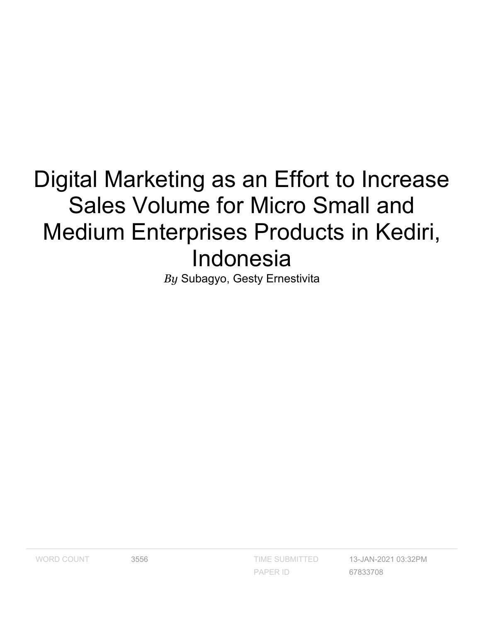# Digital Marketing as an Effort to Increase Sales Volume for Micro Small and Medium Enterprises Products in Kediri, Indonesia

*By* Subagyo, Gesty Ernestivita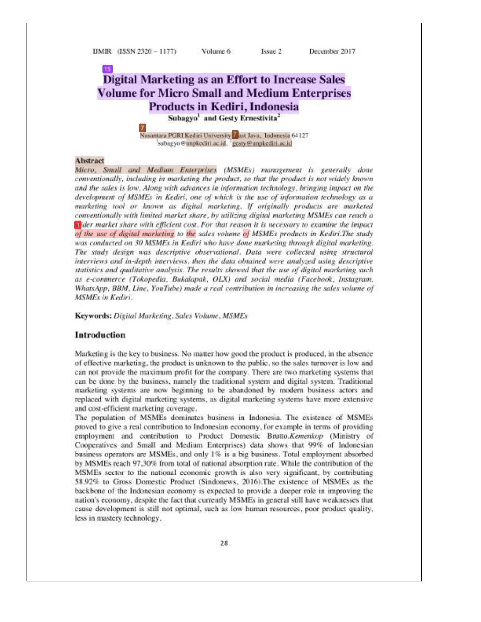UMIR (ISSN 2320 - 1177)

Volume 6

Issue 2 December 2017

### **Digital Marketing as an Effort to Increase Sales Volume for Micro Small and Medium Enterprises** Products in Kediri, Indonesia Subagyo<sup>1</sup> and Gesty Ernestivita<sup>2</sup>

Nusantara PGRI Kediri University<sup>17</sup>ast Java, Indonesia 64127 subagyo @unpkediri.ac.id. gesty@unpkediri.ac.id

#### Abstract

Micro, Small and Medium Enterprises (MSMEs) management is generally done conventionally, including in marketing the product, so that the product is not widely known and the sales is low. Along with advances in information technology, bringing impact on the development of MSMEs in Kediri, one of which is the use of information technology as a marketing tool or known as digital marketing. If originally products are marketed conventionally with limited market share, by utilizing digital marketing MSMEs can reach a a ider market share with efficient cost. For that reason it is necessary to examine the impact of the use of digital marketing to the sales volume of MSMEs products in Kediri.The study was conducted on 30 MSMEs in Kediri who have done marketing through digital marketing. The study design was descriptive observational. Data were collected using structural interviews and in-depth interviews, then the data obtained were analyzed using descriptive statistics and qualitative analysis. The results showed that the use of digital marketing such as e-commerce (Tokopedia, Bukalapak, OLX) and social media (Facebook, Instagram, WhatsApp, BBM, Line, YouTube) made a real contribution in increasing the sales volume of MSMFs in Kediri

Keywords: Digital Marketing, Sales Volume, MSMEs

#### **Introduction**

Marketing is the key to business. No matter how good the product is produced, in the absence of effective marketing, the product is unknown to the public, so the sales turnover is low and can not provide the maximum profit for the company. There are two marketing systems that can be done by the business, namely the traditional system and digital system. Traditional marketing systems are now beginning to be abandoned by modern business actors and replaced with digital marketing systems, as digital marketing systems have more extensive and cost-efficient marketing coverage.

The population of MSMEs dominates business in Indonesia. The existence of MSMEs proved to give a real contribution to Indonesian economy, for example in terms of providing employment and contribution to Product Domestic Brutto.Kemenkop (Ministry of Cooperatives and Small and Medium Enterprises) data shows that 99% of Indonesian business operators are MSMEs, and only 1% is a big business. Total employment absorbed by MSMEs reach 97,30% from total of national absorption rate. While the contribution of the MSMEs sector to the national economic growth is also very significant, by contributing 58.92% to Gross Domestic Product (Sindonews, 2016). The existence of MSMEs as the backbone of the Indonesian economy is expected to provide a deeper role in improving the nation's economy, despite the fact that currently MSMEs in general still have weaknesses that cause development is still not optimal, such as low human resources, poor product quality, less in mastery technology.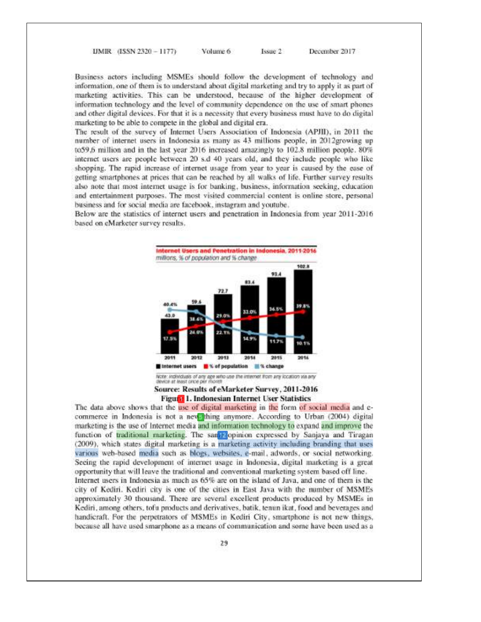UMIR (ISSN 2320 - 1177) Volume 6 Issue 2

Business actors including MSMEs should follow the development of technology and information, one of them is to understand about digital marketing and try to apply it as part of marketing activities. This can be understood, because of the higher development of information technology and the level of community dependence on the use of smart phones and other digital devices. For that it is a necessity that every business must have to do digital marketing to be able to compete in the global and digital era.

December 2017

The result of the survey of Internet Users Association of Indonesia (APJII), in 2011 the number of internet users in Indonesia as many as 43 millions people, in 2012growing up to59,6 million and in the last year 2016 increased amazingly to 102.8 million people. 80% internet users are people between 20 s.d 40 years old, and they include people who like shopping. The rapid increase of internet usage from year to year is caused by the ease of getting smartphones at prices that can be reached by all walks of life. Further survey results also note that most internet usage is for banking, business, information seeking, education and entertainment purposes. The most visited commercial content is online store, personal business and for social media are facebook, instagram and voutube.

Below are the statistics of internet users and penetration in Indonesia from year 2011-2016 based on eMarketer survey results.



Source: Results of eMarketer Survey, 2011-2016 Figura 1. Indonesian Internet User Statistics

The data above shows that the use of digital marketing in the form of social media and ecommerce in Indonesia is not a new thing anymore. According to Urban (2004) digital marketing is the use of Internet media and information technology to expand and improve the function of traditional marketing. The san Elopinion expressed by Sanjaya and Tiragan (2009), which states digital marketing is a marketing activity including branding that uses various web-based media such as blogs, websites, e-mail, adwords, or social networking. Seeing the rapid development of internet usage in Indonesia, digital marketing is a great opportunity that will leave the traditional and conventional marketing system based off line. Internet users in Indonesia as much as 65% are on the island of Java, and one of them is the city of Kediri. Kediri city is one of the cities in East Java with the number of MSMEs approximately 30 thousand. There are several excellent products produced by MSMEs in Kediri, among others, tofu products and derivatives, batik, tenun ikat, food and beverages and handicraft. For the perpetrators of MSMEs in Kediri City, smartphone is not new things, because all have used smarphone as a means of communication and some have been used as a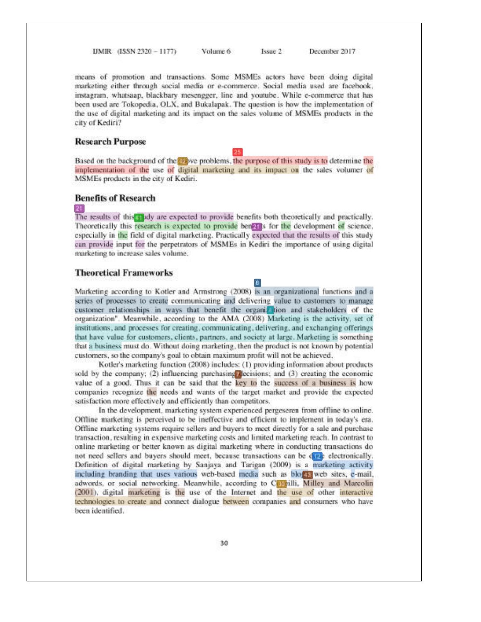UMIR (ISSN 2320 - 1177)

Volume 6 Issue 2 December 2017

means of promotion and transactions. Some MSMEs actors have been doing digital marketing either through social media or e-commerce. Social media used are facebook, instagram, whatsaap, blackbary mesengger, line and youtube. While e-commerce that has been used are Tokopedia, OLX, and Bukalapak. The question is how the implementation of the use of digital marketing and its impact on the sales volume of MSMEs products in the city of Kediri?

#### **Research Purpose**

Based on the background of the evolve problems, the purpose of this study is to determine the implementation of the use of digital marketing and its impact on the sales volumer of MSMEs products in the city of Kediri.

#### **Benefits of Research**

#### $21$

The results of this Hudy are expected to provide benefits both theoretically and practically. Theoretically this research is expected to provide benefit is for the development of science. especially in the field of digital marketing. Practically expected that the results of this study can provide input for the perpetrators of MSMEs in Kediri the importance of using digital marketing to increase sales volume.

#### **Theoretical Frameworks**

Marketing according to Kotler and Armstrong (2008) is an organizational functions and a series of processes to create communicating and delivering value to customers to manage customer relationships in ways that benefit the organization and stakeholders of the organization". Meanwhile, according to the AMA (2008) Marketing is the activity, set of institutions, and processes for creating, communicating, delivering, and exchanging offerings that have value for customers, clients, partners, and society at large. Marketing is something that a business must do. Without doing marketing, then the product is not known by potential customers, so the company's goal to obtain maximum profit will not be achieved.

a.

Kotler's marketing function (2008) includes: (1) providing information about products sold by the company;  $(2)$  influencing purchasing decisions; and  $(3)$  creating the economic value of a good. Thus it can be said that the key to the success of a business is how companies recognize the needs and wants of the target market and provide the expected satisfaction more effectively and efficiently than competitors.

In the development, marketing system experienced pergeseren from offline to online. Offline marketing is perceived to be ineffective and efficient to implement in today's era. Offline marketing systems require sellers and buyers to meet directly for a sale and purchase transaction, resulting in expensive marketing costs and limited marketing reach. In contrast to online marketing or better known as digital marketing where in conducting transactions do not need sellers and buyers should meet, because transactions can be different electronically. Definition of digital marketing by Sanjaya and Tarigan (2009) is a marketing activity including branding that uses various web-based media such as block web sites, e-mail, adwords, or social networking. Meanwhile, according to Contrilli, Milley and Marcolin (2001), digital marketing is the use of the Internet and the use of other interactive technologies to create and connect dialogue between companies and consumers who have been identified.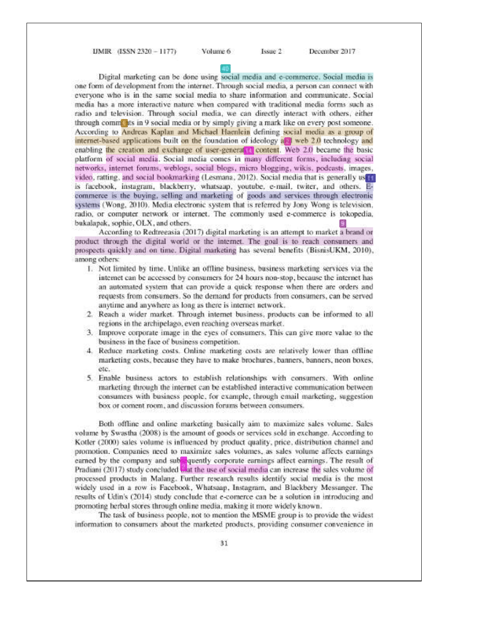UMIR (ISSN 2320 - 1177)

Volume 6

Issue 2

December 2017

Digital marketing can be done using social media and e-commerce. Social media is one form of development from the internet. Through social media, a person can connect with everyone who is in the same social media to share information and communicate. Social media has a more interactive nature when compared with traditional media forms such as radio and television. Through social media, we can directly interact with others, either through community in 9 social media or by simply giving a mark like on every post someone. According to Andreas Kaplan and Michael Haenlein defining social media as a group of internet-based applications built on the foundation of ideology and web 2.0 technology and enabling the creation and exchange of user-genera<sup>[11]</sup> content. Web 2.0 became the basic platform of social media. Social media comes in many different forms, including social networks, internet forums, weblogs, social blogs, micro blogging, wikis, podcasts, images, video, ratting, and social bookmarking (Lesmana, 2012). Social media that is generally useful is facebook, instagram, blackberry, whatsaap, youtube, e-mail, twiter, and others. Ecommerce is the buying, selling and marketing of goods and services through electronic systems (Wong, 2010). Media electronic system that is referred by Jony Wong is television. radio, or computer network or internet. The commonly used e-commerce is tokopedia, bukalapak, sophie, OLX, and others.

According to Redtreeasia (2017) digital marketing is an attempt to market a brand or product through the digital world or the internet. The goal is to reach consumers and prospects quickly and on time. Digital marketing has several benefits (BisnisUKM, 2010), among others:

- 1. Not limited by time. Unlike an offline business, business marketing services via the internet can be accessed by consumers for 24 hours non-stop, because the internet has an automated system that can provide a quick response when there are orders and requests from consumers. So the demand for products from consumers, can be served anytime and anywhere as long as there is internet network.
- 2. Reach a wider market. Through internet business, products can be informed to all regions in the archipelago, even reaching overseas market.
- 3. Improve corporate image in the eyes of consumers. This can give more value to the business in the face of business competition.
- 4. Reduce marketing costs. Online marketing costs are relatively lower than offline marketing costs, because they have to make brochures, banners, banners, neon boxes, etc.
- 5. Enable business actors to establish relationships with consumers. With online marketing through the internet can be established interactive communication between consumers with business people, for example, through email marketing, suggestion box or coment room, and discussion forums between consumers.

Both offline and online marketing basically aim to maximize sales volume. Sales volume by Swastha (2008) is the amount of goods or services sold in exchange. According to Kotler (2000) sales volume is influenced by product quality, price, distribution channel and promotion. Companies need to maximize sales volumes, as sales volume affects earnings earned by the company and subsequently corporate earnings affect earnings. The result of Pradiani (2017) study concluded that the use of social media can increase the sales volume of processed products in Malang. Further research results identify social media is the most widely used in a row is Facebook, Whatsaap, Instagram, and Blackbery Messanger. The results of Udin's (2014) study conclude that e-comerce can be a solution in introducing and promoting herbal stores through online media, making it more widely known.

The task of business people, not to mention the MSME group is to provide the widest information to consumers about the marketed products, providing consumer convenience in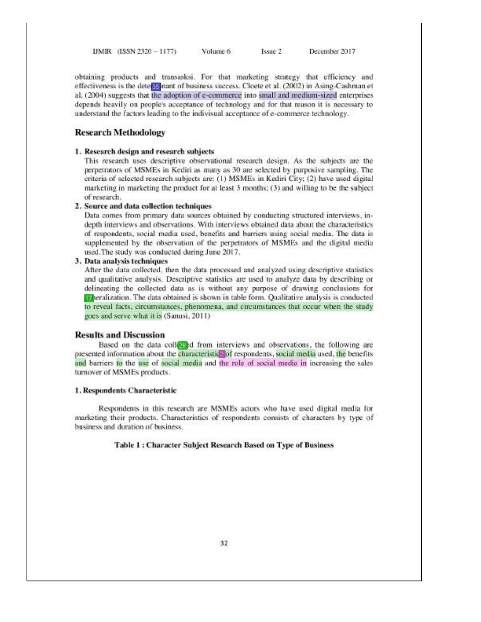UMIR (ISSN 2320 - 1177) Volume 6

obtaining products and transasksi. For that marketing strategy that efficiency and effectiveness is the determinant of business success. Cloete et al. (2002) in Asing-Cashman et al. (2004) suggests that the adoption of e-commerce into small and medium-sized enterprises depends heavily on people's acceptance of technology and for that reason it is necessary to understand the factors leading to the indivisual acceptance of e-commerce technology.

Issue 2

December 2017

#### **Research Methodology**

#### 1. Research design and research subjects

This research uses descriptive observational research design. As the subjects are the perpetrators of MSMEs in Kediri as many as 30 are selected by purposive sampling. The criteria of selected research subjects are: (1) MSMEs in Kediri City; (2) have used digital marketing in marketing the product for at least 3 months; (3) and willing to be the subject of research.

#### 2. Source and data collection techniques

Data comes from primary data sources obtained by conducting structured interviews, indepth interviews and observations. With interviews obtained data about the characteristics of respondents, social media used, benefits and barriers using social media. The data is supplemented by the observation of the perpetrators of MSMEs and the digital media used. The study was conducted during June 2017.

#### 3. Data analysis techniques

After the data collected, then the data processed and analyzed using descriptive statistics and qualitative analysis. Descriptive statistics are used to analyze data by describing or delineating the collected data as is without any purpose of drawing conclusions for Theralization. The data obtained is shown in table form. Qualitative analysis is conducted to reveal facts, circumstances, phenomena, and circumstances that occur when the study goes and serve what it is (Sanusi, 2011)

#### **Results and Discussion**

Based on the data collected from interviews and observations, the following are presented information about the characteristic of respondents, social media used, the benefits and barriers to the use of social media and the role of social media in increasing the sales turnover of MSMEs products.

#### 1. Respondents Characteristic

Respondents in this research are MSMEs actors who have used digital media for marketing their products. Characteristics of respondents consists of characters by type of business and duration of business.

#### Table 1 : Character Subject Research Based on Type of Business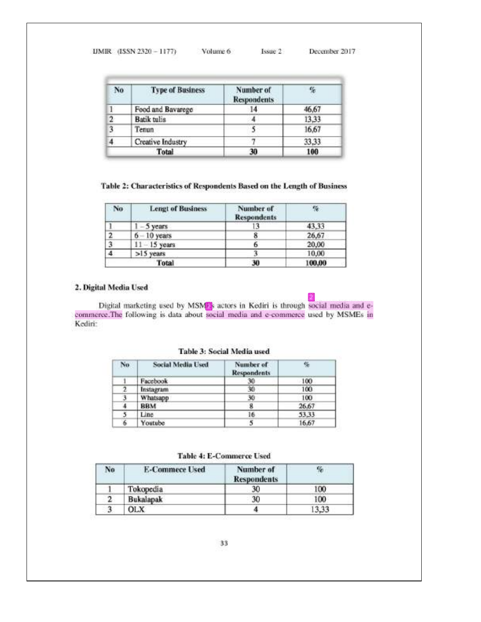| IJMIR (ISSN 2320 - 1177) | Volume 6 | Issue 2 | December 2017 |
|--------------------------|----------|---------|---------------|
|                          |          |         |               |

| No             | <b>Type of Business</b> | Number of<br><b>Respondents</b> |       |
|----------------|-------------------------|---------------------------------|-------|
| ī.             | Food and Bavarege       | 14                              | 46,67 |
| $\overline{2}$ | <b>Batik</b> tulis      |                                 | 13,33 |
| 3              | Tenun                   |                                 | 16,67 |
|                | Creative Industry       |                                 | 33,33 |
|                | <b>Total</b>            | 30                              | 100   |

#### Table 2: Characteristics of Respondents Based on the Length of Business

| No. | <b>Lengt of Business</b> | Number of<br><b>Respondents</b> | 筛      |
|-----|--------------------------|---------------------------------|--------|
|     | $1 - 5$ years            |                                 | 43,33  |
|     | $6 - 10$ years           |                                 | 26,67  |
| 3   | $11 - 15$ years          |                                 | 20,00  |
|     | >15 years                |                                 | 10,00  |
|     | Total                    | 30                              | 100,00 |

#### 2. Digital Media Used

Digital marketing used by MSMEs actors in Kediri is through social media and e-commerce. The following is data about social media and e-commerce used by MSMEs in Kediri:

| No. | <b>Social Media Used</b> | Number of<br><b>Respondents</b> |       |
|-----|--------------------------|---------------------------------|-------|
|     | Facebook                 | 30                              | 100   |
|     | Instagram                | 30                              | 100   |
| 3   | Whatsapp                 | 30                              | 100   |
|     | <b>BBM</b>               |                                 | 26.67 |
|     | Line                     | 16                              | 53,33 |
| 6   | Youtube                  |                                 | 16,67 |

Table 3: Social Media used

Table 4: E-Commerce Used

| No | <b>E-Commece Used</b> | Number of<br><b>Respondents</b> | %     |
|----|-----------------------|---------------------------------|-------|
|    | Tokopedia             | 30                              | 100   |
| 2  | <b>Bukalapak</b>      | 30                              | 100   |
| 3  | OLX                   |                                 | 13,33 |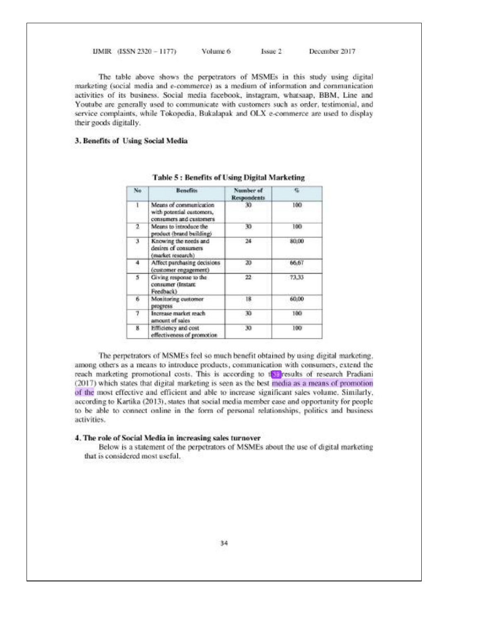UMIR (ISSN 2320 - 1177) Volume 6 Issue 2 December 2017

The table above shows the perpetrators of MSMEs in this study using digital marketing (social media and e-commerce) as a medium of information and communication activities of its business. Social media facebook, instagram, whatsaap, BBM, Line and Youtube are generally used to communicate with customers such as order, testimonial, and service complaints, while Tokopedia, Bukalapak and OLX e-commerce are used to display their goods digitally.

#### 3. Benefits of Using Social Media

| No.          | <b>Benefits</b>                                                                | Number of<br><b>Respondents</b> | G.    |
|--------------|--------------------------------------------------------------------------------|---------------------------------|-------|
| $\mathbf{1}$ | Means of communication<br>with potential customers,<br>consumers and customers | 30                              | 100   |
| 2            | Means to introduce the<br>product (brand building)                             | 30                              | 100   |
| X            | Knowing the needs and<br>desires of consumers<br>(market research)             | 24                              | 80,00 |
| 4            | Affect purchasing decisions<br>(customer engagement)                           | 20                              | 66,67 |
| 5            | Giving response to the<br>consumer (Instant)<br>Feedback)                      | $^{22}$                         | 73,33 |
| 6            | Monitoring customer<br>progress                                                | ŀΒ                              | 60.00 |
| 7            | Increase market reach<br>amount of sales                                       | 30                              | 100   |
| 8            | Efficiency and cost<br>effectiveness of promotion                              | 30                              | 100   |

#### **Table 5: Benefits of Using Digital Marketing**

The perpetrators of MSMEs feel so much benefit obtained by using digital marketing. among others as a means to introduce products, communication with consumers, extend the reach marketing promotional costs. This is according to the results of research Pradiani (2017) which states that digital marketing is seen as the best media as a means of promotion of the most effective and efficient and able to increase significant sales volume, Similarly, according to Kartika (2013), states that social media member case and opportunity for people to be able to connect online in the form of personal relationships, politics and business activities.

#### 4. The role of Social Media in increasing sales turnover

Below is a statement of the perpetrators of MSMEs about the use of digital marketing that is considered most useful.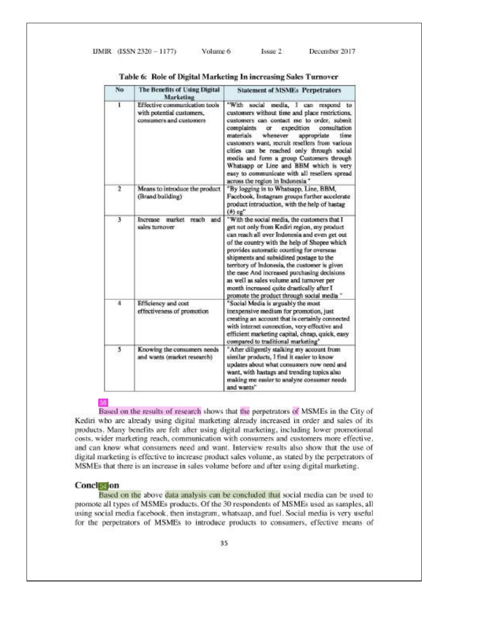| No             | The Benefits of Using Digital<br>Marketing                                            | <b>Statement of MSMEs Perpetrators</b>                                                                                                                                                                                                                                                                                                                                                                                                                                                                                     |
|----------------|---------------------------------------------------------------------------------------|----------------------------------------------------------------------------------------------------------------------------------------------------------------------------------------------------------------------------------------------------------------------------------------------------------------------------------------------------------------------------------------------------------------------------------------------------------------------------------------------------------------------------|
| 1              | Effective communication tools<br>with potential customers.<br>consumers and customers | "With social media, I can respond to<br>customers without time and place restrictions.<br>customers can contact me to order, submit<br>consultation<br>complaints<br>expedition<br>or<br>materials<br>whenever<br>appropriate<br>time<br>customers want, recruit resellers from various<br>cities can be reached only through social<br>media and form a group Customers through<br>Whatsapp or Line and BBM which is very<br>easy to communicate with all resellers spread<br>across the region in Indonesia."            |
| $\overline{2}$ | Means to introduce the product<br>(Brand building)                                    | "By logging in to Whatsapp, Line, BBM,<br>Facebook, Instagram groups further accelerate<br>product introduction, with the help of hastag<br>(A) eg"                                                                                                                                                                                                                                                                                                                                                                        |
| -3             | reach<br>and<br>Increase<br>market<br>sales turnover                                  | "With the social media, the customers that I<br>get not only from Kediri region, my product<br>can reach all over Indonesia and even get out<br>of the country with the help of Shopee which<br>provides automatic counting for overseas<br>shipments and subsidized postage to the<br>territory of Indonesia, the customer is given<br>the ease And increased purchasing decisions<br>as well as sales volume and turnover per<br>month increased quite drastically after I<br>promote the product through social media." |
| 4              | Efficiency and cost<br>effectiveness of promotion                                     | "Social Media is arguably the most<br>inexpensive medium for promotion, just<br>creating an account that is certainly connected<br>with internet connection, very effective and<br>efficient marketing capital, cheap, quick, easy<br>compared to traditional marketing"                                                                                                                                                                                                                                                   |
| 5              | Knowing the consumers needs<br>and wants (market research).                           | "After diligently stalking my account from<br>similar products, I find it easier to know<br>updates about what consumers now need and<br>want, with hastags and trending topics also<br>making me easier to analyze consumer needs<br>and wants"                                                                                                                                                                                                                                                                           |

Table 6: Role of Digital Marketing In increasing Sales Turnover

Issue 2

90

Based on the results of research shows that the perpetrators of MSMEs in the City of Kediri who are already using digital marketing already increased in order and sales of its products. Many benefits are felt after using digital marketing, including lower promotional costs, wider marketing reach, communication with consumers and customers more effective, and can know what consumers need and want. Interview results also show that the use of digital marketing is effective to increase product sales volume, as stated by the perpetrators of MSMEs that there is an increase in sales volume before and after using digital marketing.

#### **Conclession**

Based on the above data analysis can be concluded that social media can be used to promote all types of MSMEs products. Of the 30 respondents of MSMEs used as samples, all using social media facebook, then instagram, whatsaap, and fuel. Social media is very useful for the perpetrators of MSMEs to introduce products to consumers, effective means of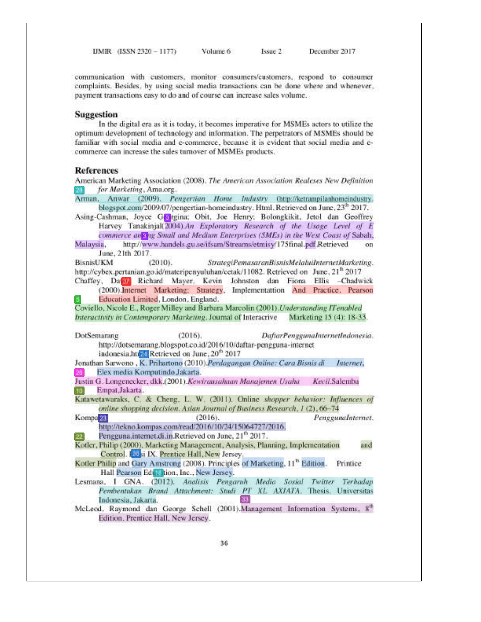UMIR (ISSN 2320 - 1177) Volume 6

communication with customers, monitor consumers/customers, respond to consumer complaints. Besides, by using social media transactions can be done where and whenever, payment transactions easy to do and of course can increase sales volume.

Issue 2

December 2017

#### **Suggestion**

In the digital era as it is today, it becomes imperative for MSMEs actors to utilize the optimum development of technology and information. The perpetrators of MSMEs should be familiar with social media and e-commerce, because it is evident that social media and ecommerce can increase the sales tumover of MSMEs products.

#### **References**

American Marketing Association (2008). The American Association Realeses New Definition for Marketing, Ama.org.

Arman, Anwar (2009). Pengertian Home Industry (http://ketrampilanhomeindustry. blogspot.com/2009/07/pengertian-homeindustry. Html. Retrieved on June, 23<sup>th</sup> 2017. Asing-Cashman, Joyce Gorgina; Obit, Joe Henry; Bolongkikit, Jetol dan Geoffrey Harvey Tanakinjal(2004).An Exploratory Research of the Usage Level of E commerce anting Small and Medium Enterprises (SMEs) in the West Coast of Sabah,

Malaysia. http://www.handels.gu.se/ifsam/Streams/etmisy/175final.pdf.Retrieved June, 21th 2017.

**BisnisUKM** StrategiPemasaranBisnisMelaluiInternetMarketing.  $(2010)$ . http://cybex.pertanian.go.id/materipenyuluhan/cetak/11082. Retrieved on June, 21<sup>th</sup> 2017

Chaffey, Dawl Richard Mayer, Kevin Johnston dan Fiona Ellis -Chadwick (2000) Internet Marketing: Strategy, Implementation And Practice, Pearson Education Limited, London, England.

Coviello, Nicole E., Roger Milley and Barbara Marcolin (2001). Understanding IT enabled Interactivity in Contemporary Marketing. Journal of Interacrive Marketing 15 (4): 18-33.

DotSemarang  $(2016).$ DaftarPenggunaInternetIndonesia. http://dotsemarang.blogspot.co.id/2016/10/daftar-pengguna-internet indonesia.http://ketrieved.on-June, 20<sup>th</sup> 2017

Jonathan Sarwono, K. Prihartono (2010).Perdagangan Online: Cara Bisnis di Internet. Elex media Komputindo Jakarta.

Justin G. Longenecker, dkk.(2001). Kewirausahaan Manajemen Usaha Kecil.Salemba Empat, Jakarta, 90.

Katawetawaraks, C. & Cheng, L. W. (2011). Online shopper behavior: Influences of online shopping decision. Asian Journal of Business Research, 1 (2), 66-74

Kompa<sup>20</sup>  $(2016).$ Penggunalnternet. http://tekno.kompas.com/read/2016/10/24/15064727/2016.

Pengguna.internet.di.in.Retrieved on June, 21<sup>th</sup> 2017.

Kotler, Philip (2000). Marketing Management, Analysis, Planning, Implementation and Control. [89]si IX. Prentice Hall, New Jersey.

Kotler Philip and Gary Amstrong (2008). Principles of Marketing, 11<sup>th</sup> Edition. Printice Hall Pearson Edi Lition, Inc., New Jersey.

Lesmana, I GNA. (2012). Analisis Pengaruh Media Sosial Twitter Terhadap Pembentukan Brand Attachment: Studi PT XL AXIATA. Thesis. Universitas Indonesia, Jakarta, -33

McLeod, Raymond dan George Schell (2001).Management Information Systems, 8<sup>th</sup> Edition. Prentice Hall, New Jersey.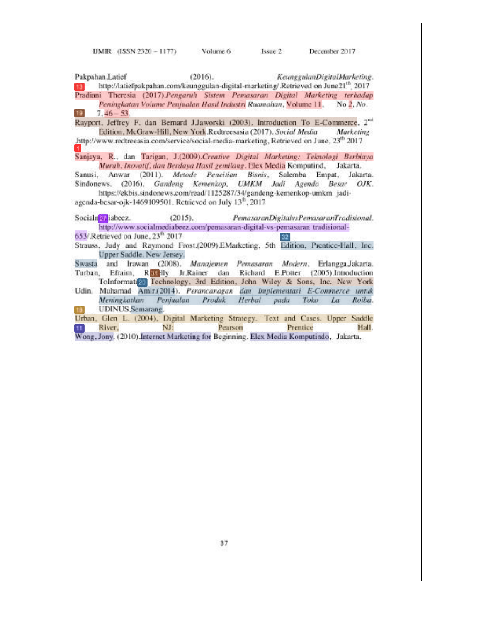UMIR (ISSN 2320 - 1177) Volume 6 Issue 2 December 2017

 $(2016).$ Pakpahan Latief KeunggulanDigitalMarketing. http://latiefpakpahan.com/keunggulan-digital-marketing/ Retrieved on June21<sup>th</sup> 2017 Pradiani Theresia (2017).Pengaruh Sistem Pemasaran Digital Marketing terhadap Peningkatan Volume Penjualan Hosil Industri Ruamahan, Volume 11, No 2, No. -19  $7,46 - 53$ 

Rayport, Jeffrey F. dan Bernard J.Jaworski (2003). Introduction To E-Commerce, 2<sup>nd</sup> Edition, McGraw-Hill, New York.Redreesasia (2017). Social Media Marketing http://www.redtreeasia.com/service/social-media-marketing, Retrieved on June, 23<sup>th</sup> 2017

Sanjaya, R., dan Tarigan, J.(2009).Creative Digital Marketing: Teknologi Berbiaya Murah, Inovatif, dan Berdaya Hasil gemilang. Elex Media Komputind, Jakarta.

Sanusi, Anwar (2011). Metode Peneitian Bisnis, Salemba Empat, Jakarta. Sindonews. (2016). Gandeng Kemenkop, UMKM Jadi Agenda Besar OJK. https://ekbis.sindonews.com/read/1125287/34/gandeng-kemenkop-umkm\_jadi-

agenda-besar-ojk-1469109501. Retrieved on July 13<sup>th</sup>, 2017

Socialn<sup>2</sup> iabecz. PemasaranDigitalvsPemasaranTrodisional.  $(2015)$ . http://www.socialmediabeez.com/pemasaran-digital-vs-pemasaran tradisional-

653/ Retrieved on June, 23<sup>th</sup> 2017  $|32\rangle$ 

Strauss, Judy and Raymond Frost.(2009).EMarketing, 5th Edition, Prentice-Hall, Inc. Upper Saddle, New Jersey.

Swasta and Irawan (2008), Manajemen Pemasaran Modern, Erlangga Jakarta. Turban, Efraim, Recelly Jr.Rainer dan Richard E.Potter (2005).Introduction ToInformation Technology, 3rd Edition, John Wiley & Sons, Inc. New York

Udin, Muhamad Amir(2014). Perancanagan dan Implementasi E-Commerce untuk Penjualan Produk Herbal pada Toko Meningkatkan  $La$ Roiba. **UDINUS** Semarang.  $10<sup>1</sup>$ 

Urban, Glen L. (2004), Digital Marketing Strategy. Text and Cases. Upper Saddle River. NJ: Pearson Prentice Hall.  $11$ Wong, Jony. (2010).Internet Marketing for Beginning. Elex Media Komputindo, Jakarta.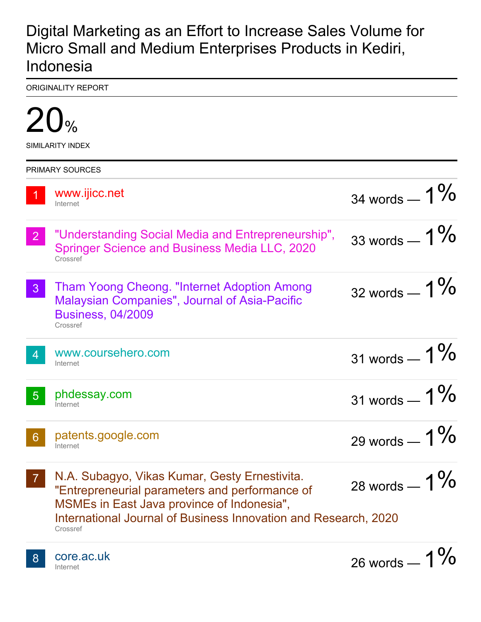## Digital Marketing as an Effort to Increase Sales Volume for Micro Small and Medium Enterprises Products in Kediri, Indonesia

ORIGINALITY REPORT

|                | SIMILARITY INDEX                                                                                                                                                                                                             |                 |
|----------------|------------------------------------------------------------------------------------------------------------------------------------------------------------------------------------------------------------------------------|-----------------|
|                | <b>PRIMARY SOURCES</b>                                                                                                                                                                                                       |                 |
|                | www.ijicc.net<br>Internet                                                                                                                                                                                                    | 34 words $-1\%$ |
| $\overline{2}$ | "Understanding Social Media and Entrepreneurship",<br><b>Springer Science and Business Media LLC, 2020</b><br>Crossref                                                                                                       | 33 words $-1\%$ |
| 3 <sup>°</sup> | <b>Tham Yoong Cheong. "Internet Adoption Among</b><br><b>Malaysian Companies", Journal of Asia-Pacific</b><br><b>Business, 04/2009</b><br>Crossref                                                                           | 32 words $-1\%$ |
| $\overline{4}$ | www.coursehero.com<br>Internet                                                                                                                                                                                               | 31 words $-1\%$ |
| $\sqrt{5}$     | phdessay.com<br>Internet                                                                                                                                                                                                     | 31 words $-1\%$ |
| 6              | patents.google.com<br>Internet                                                                                                                                                                                               | 29 words $-1\%$ |
|                | N.A. Subagyo, Vikas Kumar, Gesty Ernestivita.<br>"Entrepreneurial parameters and performance of<br>MSMEs in East Java province of Indonesia",<br>International Journal of Business Innovation and Research, 2020<br>Crossref | 28 words $-1\%$ |
|                | core ac uk                                                                                                                                                                                                                   | A 0/            |

core.ac.uk Internet

 $\mathbf{O}$ 

 $26$  words —  $1$  /0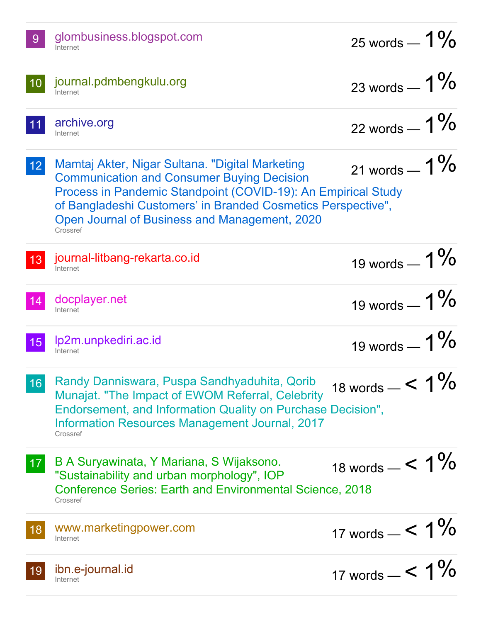|      | glombusiness.blogspot.com<br>Internet                                                                                                                                                                                                                                                              | 25 words $-1\%$      |
|------|----------------------------------------------------------------------------------------------------------------------------------------------------------------------------------------------------------------------------------------------------------------------------------------------------|----------------------|
| 10   | journal.pdmbengkulu.org<br>Internet                                                                                                                                                                                                                                                                | 23 words $-1\%$      |
| $11$ | archive.org<br>Internet                                                                                                                                                                                                                                                                            | 22 words $-1\%$      |
| 12   | Mamtaj Akter, Nigar Sultana. "Digital Marketing<br><b>Communication and Consumer Buying Decision</b><br>Process in Pandemic Standpoint (COVID-19): An Empirical Study<br>of Bangladeshi Customers' in Branded Cosmetics Perspective",<br>Open Journal of Business and Management, 2020<br>Crossref | 21 words $-1\%$      |
| 13   | journal-litbang-rekarta.co.id<br>Internet                                                                                                                                                                                                                                                          | 19 words $-1\%$      |
| 14   | docplayer.net<br>Internet                                                                                                                                                                                                                                                                          | 19 words $-1\%$      |
| 15   | Ip2m.unpkediri.ac.id<br>Internet                                                                                                                                                                                                                                                                   | 19 words $-1\%$      |
| 16   | Randy Danniswara, Puspa Sandhyaduhita, Qorib<br>Munajat. "The Impact of EWOM Referral, Celebrity<br>Endorsement, and Information Quality on Purchase Decision",<br><b>Information Resources Management Journal, 2017</b><br>Crossref                                                               | 18 words $-$ < $1\%$ |
| 17   | B A Suryawinata, Y Mariana, S Wijaksono.<br>"Sustainability and urban morphology", IOP<br><b>Conference Series: Earth and Environmental Science, 2018</b><br>Crossref                                                                                                                              | 18 words $-$ < $1\%$ |
| 18   | www.marketingpower.com<br>Internet                                                                                                                                                                                                                                                                 | 17 words $-$ < $1\%$ |
| 19   | ibn.e-journal.id<br>Internet                                                                                                                                                                                                                                                                       | 17 words $-$ < $1\%$ |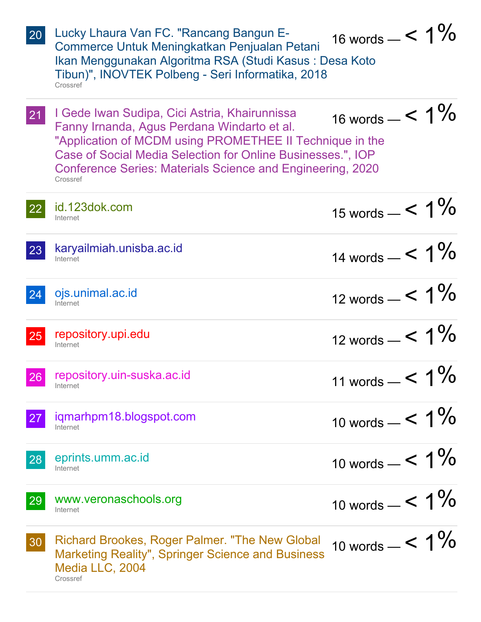| 20           | Lucky Lhaura Van FC. "Rancang Bangun E-<br>Commerce Untuk Meningkatkan Penjualan Petani<br>Ikan Menggunakan Algoritma RSA (Studi Kasus: Desa Koto<br>Tibun)", INOVTEK Polbeng - Seri Informatika, 2018<br>Crossref                                                                                       | 16 words $-$ < $1\%$ |
|--------------|----------------------------------------------------------------------------------------------------------------------------------------------------------------------------------------------------------------------------------------------------------------------------------------------------------|----------------------|
| 21           | I Gede Iwan Sudipa, Cici Astria, Khairunnissa<br>Fanny Irnanda, Agus Perdana Windarto et al.<br>"Application of MCDM using PROMETHEE II Technique in the<br>Case of Social Media Selection for Online Businesses.", IOP<br><b>Conference Series: Materials Science and Engineering, 2020</b><br>Crossref | 16 words $-$ < $1\%$ |
| <b>22</b>    | id.123dok.com<br>Internet                                                                                                                                                                                                                                                                                | 15 words $-$ < $1\%$ |
| 23           | karyailmiah.unisba.ac.id<br>Internet                                                                                                                                                                                                                                                                     | 14 words $-$ < $1\%$ |
| 24           | ojs.unimal.ac.id<br>Internet                                                                                                                                                                                                                                                                             | 12 words $-$ < $1\%$ |
| 25           | repository.upi.edu<br>Internet                                                                                                                                                                                                                                                                           | 12 words $-$ < $1\%$ |
|              | 26 repository.uin-suska.ac.id<br>Internet                                                                                                                                                                                                                                                                | 11 words $-$ < $1\%$ |
| 27           | igmarhpm18.blogspot.com<br>Internet                                                                                                                                                                                                                                                                      | 10 words $-$ < $1\%$ |
| $\boxed{28}$ | eprints.umm.ac.id<br>Internet                                                                                                                                                                                                                                                                            | 10 words $-$ < $1\%$ |
| 29           | www.veronaschools.org<br>Internet                                                                                                                                                                                                                                                                        | 10 words $-$ < $1\%$ |
| 30           | Richard Brookes, Roger Palmer. "The New Global<br><b>Marketing Reality", Springer Science and Business</b><br>Media LLC, 2004<br>Crossref                                                                                                                                                                | 10 words $-$ < $1\%$ |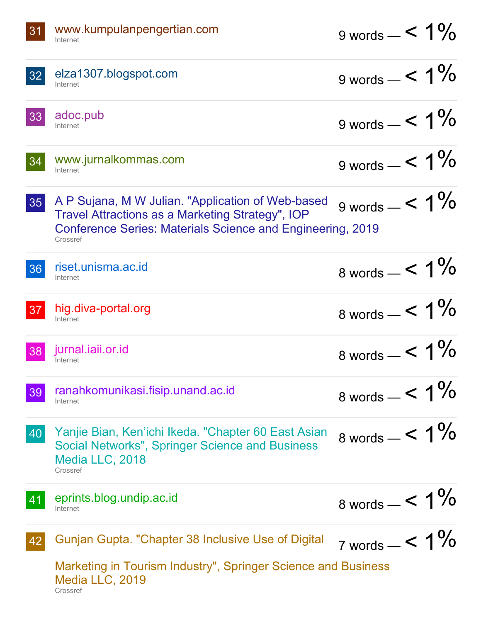| 31 | www.kumpulanpengertian.com<br>Internet                                                                                                                                                 | $9 \text{ words} - 5 \cdot 1\%$ |
|----|----------------------------------------------------------------------------------------------------------------------------------------------------------------------------------------|---------------------------------|
| 32 | elza1307.blogspot.com<br>Internet                                                                                                                                                      | 9 words $-$ < $1\%$             |
| 33 | adoc.pub<br>Internet                                                                                                                                                                   | 9 words $-$ < $1\%$             |
| 34 | www.jurnalkommas.com<br>Internet                                                                                                                                                       | 9 words $-$ < 1%                |
| 35 | A P Sujana, M W Julian. "Application of Web-based<br>Travel Attractions as a Marketing Strategy", IOP<br><b>Conference Series: Materials Science and Engineering, 2019</b><br>Crossref | 9 words $-$ < $1\%$             |
| 36 | riset.unisma.ac.id<br>Internet                                                                                                                                                         | 8 words $-$ < $1\%$             |
| 37 | hig.diva-portal.org<br>Internet                                                                                                                                                        | 8 words $-$ < $1\%$             |
| 38 | jurnal.iaii.or.id<br>Internet                                                                                                                                                          | 8 words $-$ < 1%                |
| 39 | ranahkomunikasi.fisip.unand.ac.id<br>Internet                                                                                                                                          | 8 words $-$ < 1%                |
| 40 | Yanjie Bian, Ken'ichi Ikeda. "Chapter 60 East Asian<br><b>Social Networks", Springer Science and Business</b><br>Media LLC, 2018<br>Crossref                                           | 8 words $-$ < $1\%$             |
| 41 | eprints.blog.undip.ac.id<br>Internet                                                                                                                                                   | 8 words $-$ < $1\%$             |
| 42 | Gunjan Gupta. "Chapter 38 Inclusive Use of Digital<br>Marketing in Tourism Industry", Springer Science and Business<br>Media LLC, 2019<br>Crossref                                     | 7 words $-$ < $1\%$             |